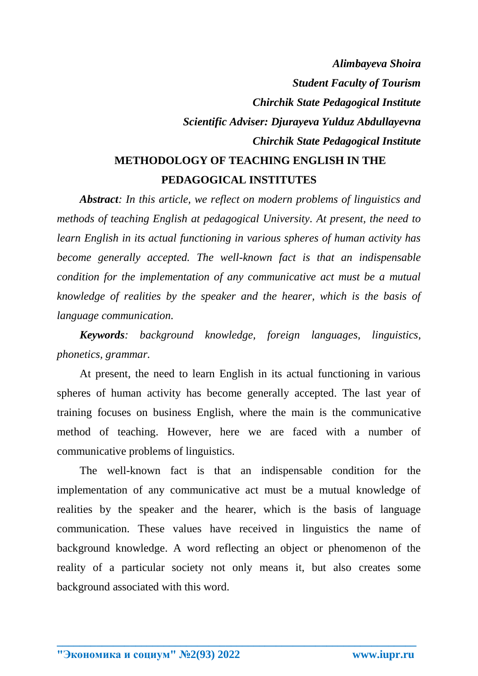## *Alimbayeva Shoira Student Faculty of Tourism Chirchik State Pedagogical Institute Scientific Adviser: Djurayeva Yulduz Abdullayevna Chirchik State Pedagogical Institute* **METHODOLOGY OF TEACHING ENGLISH IN THE**

## **PEDAGOGICAL INSTITUTES**

*Abstract: In this article, we reflect on modern problems of linguistics and methods of teaching English at pedagogical University. At present, the need to learn English in its actual functioning in various spheres of human activity has become generally accepted. The well-known fact is that an indispensable condition for the implementation of any communicative act must be a mutual knowledge of realities by the speaker and the hearer, which is the basis of language communication.*

*Keywords: background knowledge, foreign languages, linguistics, phonetics, grammar.*

At present, the need to learn English in its actual functioning in various spheres of human activity has become generally accepted. The last year of training focuses on business English, where the main is the communicative method of teaching. However, here we are faced with a number of communicative problems of linguistics.

The well-known fact is that an indispensable condition for the implementation of any communicative act must be a mutual knowledge of realities by the speaker and the hearer, which is the basis of language communication. These values have received in linguistics the name of background knowledge. A word reflecting an object or phenomenon of the reality of a particular society not only means it, but also creates some background associated with this word.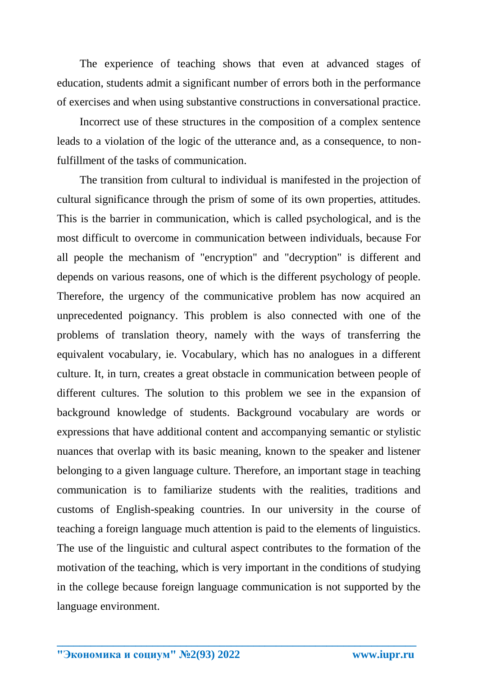The experience of teaching shows that even at advanced stages of education, students admit a significant number of errors both in the performance of exercises and when using substantive constructions in conversational practice.

Incorrect use of these structures in the composition of a complex sentence leads to a violation of the logic of the utterance and, as a consequence, to nonfulfillment of the tasks of communication.

The transition from cultural to individual is manifested in the projection of cultural significance through the prism of some of its own properties, attitudes. This is the barrier in communication, which is called psychological, and is the most difficult to overcome in communication between individuals, because For all people the mechanism of "encryption" and "decryption" is different and depends on various reasons, one of which is the different psychology of people. Therefore, the urgency of the communicative problem has now acquired an unprecedented poignancy. This problem is also connected with one of the problems of translation theory, namely with the ways of transferring the equivalent vocabulary, ie. Vocabulary, which has no analogues in a different culture. It, in turn, creates a great obstacle in communication between people of different cultures. The solution to this problem we see in the expansion of background knowledge of students. Background vocabulary are words or expressions that have additional content and accompanying semantic or stylistic nuances that overlap with its basic meaning, known to the speaker and listener belonging to a given language culture. Therefore, an important stage in teaching communication is to familiarize students with the realities, traditions and customs of English-speaking countries. In our university in the course of teaching a foreign language much attention is paid to the elements of linguistics. The use of the linguistic and cultural aspect contributes to the formation of the motivation of the teaching, which is very important in the conditions of studying in the college because foreign language communication is not supported by the language environment.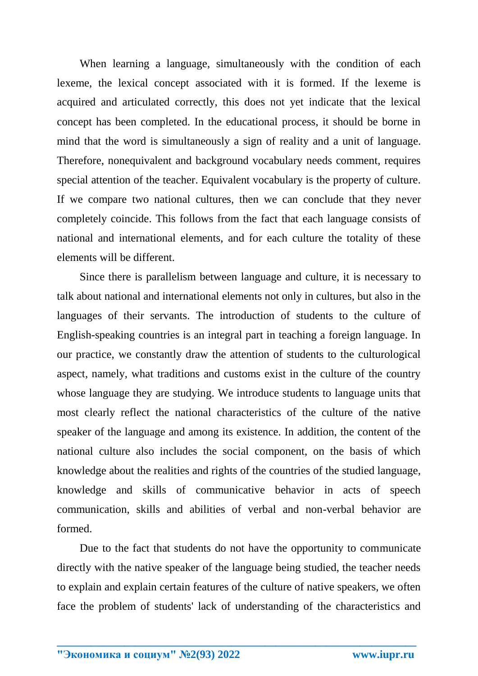When learning a language, simultaneously with the condition of each lexeme, the lexical concept associated with it is formed. If the lexeme is acquired and articulated correctly, this does not yet indicate that the lexical concept has been completed. In the educational process, it should be borne in mind that the word is simultaneously a sign of reality and a unit of language. Therefore, nonequivalent and background vocabulary needs comment, requires special attention of the teacher. Equivalent vocabulary is the property of culture. If we compare two national cultures, then we can conclude that they never completely coincide. This follows from the fact that each language consists of national and international elements, and for each culture the totality of these elements will be different.

Since there is parallelism between language and culture, it is necessary to talk about national and international elements not only in cultures, but also in the languages of their servants. The introduction of students to the culture of English-speaking countries is an integral part in teaching a foreign language. In our practice, we constantly draw the attention of students to the culturological aspect, namely, what traditions and customs exist in the culture of the country whose language they are studying. We introduce students to language units that most clearly reflect the national characteristics of the culture of the native speaker of the language and among its existence. In addition, the content of the national culture also includes the social component, on the basis of which knowledge about the realities and rights of the countries of the studied language, knowledge and skills of communicative behavior in acts of speech communication, skills and abilities of verbal and non-verbal behavior are formed.

Due to the fact that students do not have the opportunity to communicate directly with the native speaker of the language being studied, the teacher needs to explain and explain certain features of the culture of native speakers, we often face the problem of students' lack of understanding of the characteristics and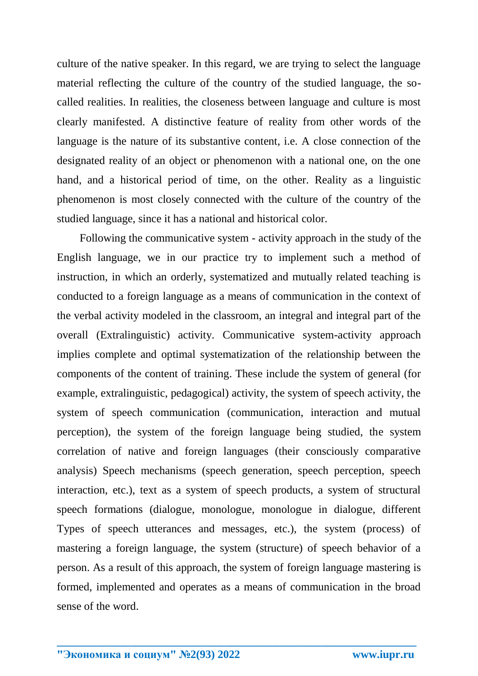culture of the native speaker. In this regard, we are trying to select the language material reflecting the culture of the country of the studied language, the socalled realities. In realities, the closeness between language and culture is most clearly manifested. A distinctive feature of reality from other words of the language is the nature of its substantive content, i.e. A close connection of the designated reality of an object or phenomenon with a national one, on the one hand, and a historical period of time, on the other. Reality as a linguistic phenomenon is most closely connected with the culture of the country of the studied language, since it has a national and historical color.

Following the communicative system - activity approach in the study of the English language, we in our practice try to implement such a method of instruction, in which an orderly, systematized and mutually related teaching is conducted to a foreign language as a means of communication in the context of the verbal activity modeled in the classroom, an integral and integral part of the overall (Extralinguistic) activity. Communicative system-activity approach implies complete and optimal systematization of the relationship between the components of the content of training. These include the system of general (for example, extralinguistic, pedagogical) activity, the system of speech activity, the system of speech communication (communication, interaction and mutual perception), the system of the foreign language being studied, the system correlation of native and foreign languages (their consciously comparative analysis) Speech mechanisms (speech generation, speech perception, speech interaction, etc.), text as a system of speech products, a system of structural speech formations (dialogue, monologue, monologue in dialogue, different Types of speech utterances and messages, etc.), the system (process) of mastering a foreign language, the system (structure) of speech behavior of a person. As a result of this approach, the system of foreign language mastering is formed, implemented and operates as a means of communication in the broad sense of the word.